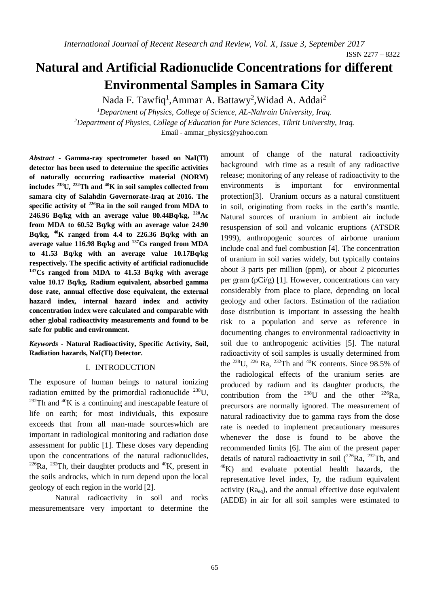ISSN 2277 – 8322

# **Natural and Artificial Radionuclide Concentrations for different Environmental Samples in Samara City**

Nada F. Tawfiq<sup>1</sup>, Ammar A. Battawy<sup>2</sup>, Widad A. Addai<sup>2</sup> *<sup>1</sup>Department of Physics, College of Science, AL-Nahrain University, Iraq. <sup>2</sup>Department of Physics, College of Education for Pure Sciences, Tikrit University, Iraq.* Email - [ammar\\_physics@yahoo.com](mailto:ammar_physics@yahoo.com)

*Abstract* **- Gamma-ray spectrometer based on NaI(Tl) detector has been used to determine the specific activities of naturally occurring radioactive material (NORM) includes <sup>238</sup>U, <sup>232</sup>Th and <sup>40</sup>K in soil samples collected from samara city of Salahdin Governorate-Iraq at 2016. The specific activity of <sup>226</sup>Ra in the soil ranged from MDA to 246.96 Bq/kg with an average value 80.44Bq/kg, <sup>228</sup>Ac from MDA to 60.52 Bq/kg with an average value 24.90 Bq/kg, <sup>40</sup>K ranged from 4.4 to 226.36 Bq/kg with an average value 116.98 Bq/kg and <sup>137</sup>Cs ranged from MDA to 41.53 Bq/kg with an average value 10.17Bq/kg respectively. The specific activity of artificial radionuclide <sup>137</sup>Cs ranged from MDA to 41.53 Bq/kg with average value 10.17 Bq/kg. Radium equivalent, absorbed gamma dose rate, annual effective dose equivalent, the external hazard index, internal hazard index and activity concentration index were calculated and comparable with other global radioactivity measurements and found to be safe for public and environment.** 

*Keywords* **- Natural Radioactivity, Specific Activity, Soil, Radiation hazards, NaI(Tl) Detector.**

## I. INTRODUCTION

The exposure of human beings to natural ionizing radiation emitted by the primordial radionuclide  $^{238}$ U,  $^{232}$ Th and  $^{40}$ K is a continuing and inescapable feature of life on earth; for most individuals, this exposure exceeds that from all man-made sourceswhich are important in radiological monitoring and radiation dose assessment for public [1]. These doses vary depending upon the concentrations of the natural radionuclides,  $226$ Ra,  $232$ Th, their daughter products and  $40$ K, present in the soils androcks, which in turn depend upon the local geology of each region in the world [2].

Natural radioactivity in soil and rocks measurementsare very important to determine the amount of change of the natural radioactivity background with time as a result of any radioactive release; monitoring of any release of radioactivity to the environments is important for environmental protection[3]. Uranium occurs as a natural constituent in soil, originating from rocks in the earth's mantle. Natural sources of uranium in ambient air include resuspension of soil and volcanic eruptions (ATSDR 1999), anthropogenic sources of airborne uranium include coal and fuel combustion [4]. The concentration of uranium in soil varies widely, but typically contains about 3 parts per million (ppm), or about 2 picocuries per gram (pCi/g) [1]. However, concentrations can vary considerably from place to place, depending on local geology and other factors. Estimation of the radiation dose distribution is important in assessing the health risk to a population and serve as reference in documenting changes to environmental radioactivity in soil due to anthropogenic activities [5]. The natural radioactivity of soil samples is usually determined from the <sup>238</sup>U, <sup>226</sup> Ra, <sup>232</sup>Th and <sup>40</sup>K contents. Since 98.5% of the radiological effects of the uranium series are produced by radium and its daughter products, the contribution from the  $^{238}$ U and the other  $^{226}$ Ra, precursors are normally ignored. The measurement of natural radioactivity due to gamma rays from the dose rate is needed to implement precautionary measures whenever the dose is found to be above the recommended limits [6]. The aim of the present paper details of natural radioactivity in soil  $(^{226}Ra, ^{232}Th,$  and  $^{40}$ K) and evaluate potential health hazards, the representative level index, I*γ*, the radium equivalent activity  $(Ra_{eq})$ , and the annual effective dose equivalent (AEDE) in air for all soil samples were estimated to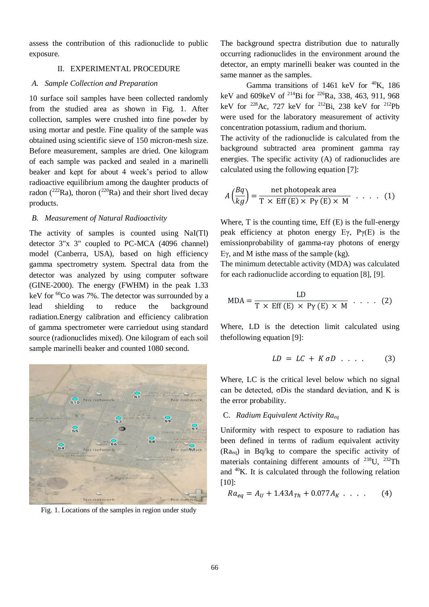assess the contribution of this radionuclide to public exposure.

## II. EXPERIMENTAL PROCEDURE

## *A. Sample Collection and Preparation*

10 surface soil samples have been collected randomly from the studied area as shown in Fig. 1. After collection, samples were crushed into fine powder by using mortar and pestle. Fine quality of the sample was obtained using scientific sieve of 150 micron-mesh size. Before measurement, samples are dried. One kilogram of each sample was packed and sealed in a marinelli beaker and kept for about 4 week's period to allow radioactive equilibrium among the daughter products of radon ( $^{222}$ Ra), thoron ( $^{220}$ Ra) and their short lived decay products.

## *B. Measurement of Natural Radioactivity*

The activity of samples is counted using NaI(Tl) detector 3"x 3" coupled to PC-MCA (4096 channel) model (Canberra, USA), based on high efficiency gamma spectrometry system. Spectral data from the detector was analyzed by using computer software (GINE-2000). The energy (FWHM) in the peak 1.33 keV for <sup>60</sup>Co was 7%. The detector was surrounded by a lead shielding to reduce the background radiation.Energy calibration and efficiency calibration of gamma spectrometer were carriedout using standard source (radionuclides mixed). One kilogram of each soil sample marinelli beaker and counted 1080 second.



Fig. 1. Locations of the samples in region under study

The background spectra distribution due to naturally occurring radionuclides in the environment around the detector, an empty marinelli beaker was counted in the same manner as the samples.

Gamma transitions of 1461 keV for  $^{40}$ K, 186 keV and 609keV of <sup>214</sup>Bi for <sup>226</sup>Ra, 338, 463, 911, 968 keV for <sup>228</sup>Ac, 727 keV for <sup>212</sup>Bi, 238 keV for <sup>212</sup>Pb were used for the laboratory measurement of activity concentration potassium, radium and thorium.

The activity of the radionuclide is calculated from the background subtracted area prominent gamma ray energies. The specific activity (A) of radionuclides are calculated using the following equation [7]:

$$
A\left(\frac{Bq}{kg}\right) = \frac{\text{net photopeak area}}{\text{T x Eff (E) x Py (E) x M}} \dots (1)
$$

Where,  $T$  is the counting time,  $Eff(E)$  is the full-energy peak efficiency at photon energy Eγ,  $P\gamma(E)$  is the emissionprobability of gamma-ray photons of energy Eγ, and M isthe mass of the sample (kg).

The minimum detectable activity (MDA) was calculated for each radionuclide according to equation [8], [9].

$$
MDA = \frac{LD}{T \times Eff(E) \times Py(E) \times M} \cdot \cdot \cdot (2)
$$

Where, LD is the detection limit calculated using thefollowing equation [9]:

$$
LD = LC + K \sigma D \dots \qquad (3)
$$

Where, LC is the critical level below which no signal can be detected, σDis the standard deviation, and K is the error probability.

## C. *Radium Equivalent Activity Raeq*

Uniformity with respect to exposure to radiation has been defined in terms of radium equivalent activity  $(Ra_{eq})$  in Bq/kg to compare the specific activity of materials containing different amounts of  $^{238}$ U,  $^{232}$ Th and  $40$ K. It is calculated through the following relation [10]:

$$
Ra_{eq} = A_U + 1.43A_{Th} + 0.077A_K \dots \tag{4}
$$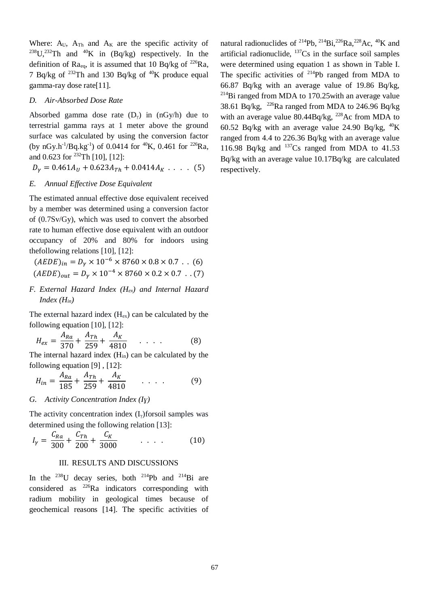Where:  $A_U$ ,  $A_{Th}$  and  $A_K$  are the specific activity of <sup>238</sup>U,<sup>232</sup>Th and <sup>40</sup>K in (Bq/kg) respectively. In the definition of  $Ra_{eq}$ , it is assumed that 10 Bq/kg of <sup>226</sup>Ra, 7 Bq/kg of  $^{232}$ Th and 130 Bq/kg of  $^{40}$ K produce equal gamma-ray dose rate[11].

## *D. Air-Absorbed Dose Rate*

Absorbed gamma dose rate  $(D<sub>y</sub>)$  in  $(nGy/h)$  due to terrestrial gamma rays at 1 meter above the ground surface was calculated by using the conversion factor (by nGy.h<sup>-1</sup>/Bq.kg<sup>-1</sup>) of 0.0414 for <sup>40</sup>K, 0.461 for <sup>226</sup>Ra, and 0.623 for <sup>232</sup>Th [10], [12]:

 $D_v = 0.461 A_U + 0.623 A_{Th} + 0.0414 A_K$  . . . . (5)

#### *E. Annual Effective Dose Equivalent*

The estimated annual effective dose equivalent received by a member was determined using a conversion factor of (0.7Sv/Gy), which was used to convert the absorbed rate to human effective dose equivalent with an outdoor occupancy of 20% and 80% for indoors using thefollowing relations [10], [12]:

 $(AEDE)_{in} = D_v \times 10^{-6} \times 8760 \times 0.8 \times 0.7$  . . (6)  $(AEDE)_{out} = D_v \times 10^{-4} \times 8760 \times 0.2 \times 0.7$ . (7)

*F. External Hazard Index (Hex) and Internal Hazard Index (Hin)*

The external hazard index  $(H_{ex})$  can be calculated by the following equation [10], [12]:

$$
H_{ex} = \frac{A_{Ra}}{370} + \frac{A_{Th}}{259} + \frac{A_K}{4810} \tag{8}
$$

The internal hazard index  $(H_{in})$  can be calculated by the following equation [9] , [12]:

$$
H_{in} = \frac{A_{Ra}}{185} + \frac{A_{Th}}{259} + \frac{A_K}{4810} \qquad \dots \qquad (9)
$$

## *G. Activity Concentration Index (Iɣ)*

The activity concentration index  $(I<sub>y</sub>)$  forsoil samples was determined using the following relation [13]:

$$
I_{\gamma} = \frac{C_{Ra}}{300} + \frac{C_{Th}}{200} + \frac{C_K}{3000} \qquad \dots \qquad (10)
$$

#### III. RESULTS AND DISCUSSIONS

In the  $^{238}$ U decay series, both  $^{214}$ Pb and  $^{214}$ Bi are considered as  $^{226}$ Ra indicators corresponding with radium mobility in geological times because of geochemical reasons [14]. The specific activities of

natural radionuclides of <sup>214</sup>Pb, <sup>214</sup>Bi, <sup>226</sup>Ra, <sup>228</sup>Ac, <sup>40</sup>K and artificial radionuclide,  $^{137}Cs$  in the surface soil samples were determined using equation 1 as shown in Table I. The specific activities of  $^{214}Pb$  ranged from MDA to 66.87 Bq/kg with an average value of 19.86 Bq/kg, <sup>214</sup>Bi ranged from MDA to 170.25 with an average value 38.61 Bq/kg, <sup>226</sup>Ra ranged from MDA to 246.96 Bq/kg with an average value  $80.44Bq/kg$ ,  $^{228}Ac$  from MDA to 60.52 Bq/kg with an average value 24.90 Bq/kg,  $^{40}$ K ranged from 4.4 to 226.36 Bq/kg with an average value 116.98 Bq/kg and  $137$ Cs ranged from MDA to 41.53 Bq/kg with an average value 10.17Bq/kg are calculated respectively.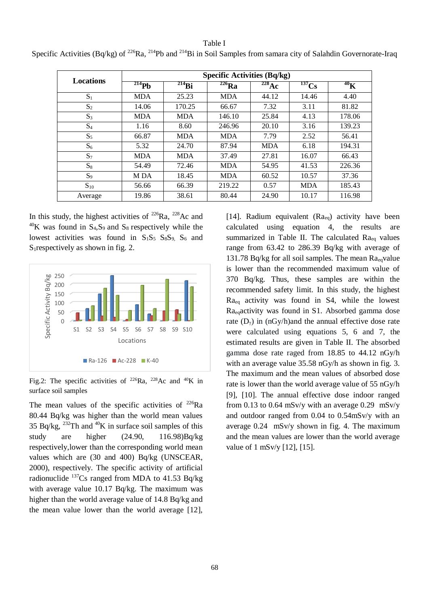# **Locations Specific Activities (Bq/kg) 214Pb 214Bi 226Ra 228Ac 1**<sup>137</sup>**Cs 40K**  $S_1$  | MDA | 25.23 | MDA | 44.12 | 14.46 | 4.40  $S_2$  | 14.06 | 170.25 | 66.67 | 7.32 | 3.11 | 81.82  $S_3$  | MDA | MDA | 146.10 | 25.84 | 4.13 | 178.06  $S_4$  | 1.16 | 8.60 | 246.96 | 20.10 | 3.16 | 139.23  $S_5$  | 66.87 | MDA | MDA | 7.79 | 2.52 | 56.41  $S_6$  | 5.32 | 24.70 | 87.94 | MDA | 6.18 | 194.31  $S_7$  | MDA | MDA | 37.49 | 27.81 | 16.07 | 66.43  $S_8$  | 54.49 | 72.46 | MDA | 54.95 | 41.53 | 226.36  $S_9$  | MDA | 18.45 | MDA | 60.52 | 10.57 | 37.36  $S_{10}$  | 56.66 | 66.39 | 219.22 | 0.57 | MDA | 185.43 Average | 19.86 | 38.61 | 80.44 | 24.90 | 10.17 | 116.98

Table I Specific Activities (Bq/kg) of <sup>226</sup>Ra, <sup>214</sup>Pb and <sup>214</sup>Bi in Soil Samples from samara city of Salahdin Governorate-Iraq

In this study, the highest activities of  $^{226}$ Ra,  $^{228}$ Ac and  $^{40}$ K was found in S<sub>4</sub>, S<sub>9</sub> and S<sub>8</sub> respectively while the lowest activities was found in  $S_1S_5 S_8S_9 S_6$  and S<sub>1</sub> respectively as shown in fig. 2.



Fig.2: The specific activities of  $226Ra$ ,  $228Ac$  and  $40K$  in surface soil samples

The mean values of the specific activities of  $^{226}Ra$ 80.44 Bq/kg was higher than the world mean values 35 Bq/kg,  $^{232}$ Th and  $^{40}$ K in surface soil samples of this study are higher (24.90, 116.98)Bq/kg respectively,lower than the corresponding world mean values which are (30 and 400) Bq/kg (UNSCEAR, 2000), respectively. The specific activity of artificial radionuclide  $^{137}Cs$  ranged from MDA to 41.53 Bq/kg with average value 10.17 Bq/kg. The maximum was higher than the world average value of 14.8 Bq/kg and the mean value lower than the world average [12],

[14]. Radium equivalent  $(Ra_{eq})$  activity have been calculated using equation 4, the results are summarized in Table II. The calculated  $Ra_{eq}$  values range from 63.42 to 286.39 Bq/kg with average of 131.78 Bq/kg for all soil samples. The mean  $Ra_{eq}$ value is lower than the recommended maximum value of 370 Bq/kg. Thus, these samples are within the recommended safety limit. In this study, the highest Raeq activity was found in S4, while the lowest Raeqactivity was found in S1. Absorbed gamma dose rate  $(D<sub>y</sub>)$  in (nGy/h)and the annual effective dose rate were calculated using equations 5, 6 and 7, the estimated results are given in Table II. The absorbed gamma dose rate raged from 18.85 to 44.12 nGy/h with an average value 35.58 nGy/h as shown in fig. 3. The maximum and the mean values of absorbed dose rate is lower than the world average value of 55 nGy/h [9], [10]. The annual effective dose indoor ranged from 0.13 to 0.64 mSv/y with an average 0.29 mSv/y and outdoor ranged from 0.04 to 0.54mSv/y with an average 0.24 mSv/y shown in fig. 4. The maximum and the mean values are lower than the world average value of 1 mSv/y [12], [15].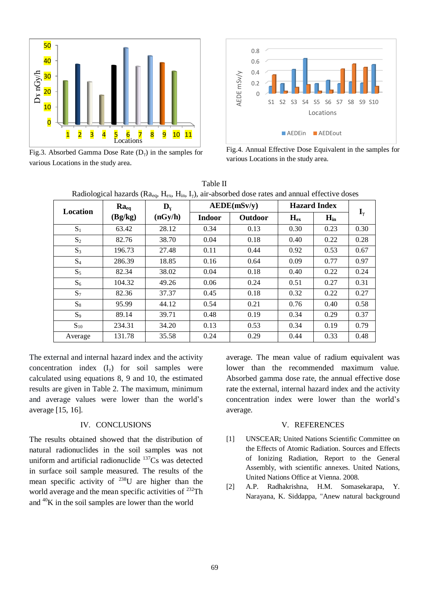

Fig.3. Absorbed Gamma Dose Rate  $(D_{\gamma})$  in the samples for various Locations in the study area.



Fig.4. Annual Effective Dose Equivalent in the samples for various Locations in the study area.

Table II Radiological hazards (Ra<sub>ga</sub>, H<sub>ex</sub>, H<sub>in</sub>, I<sub>v</sub>), air-absorbed dose rates and annual effective doses

| Location | $Ra_{eq}$ | $\mathbf{D}_{\mathbf{Y}}$ |               | A EDE(mSv/y) |          | <b>Hazard Index</b> |                       |
|----------|-----------|---------------------------|---------------|--------------|----------|---------------------|-----------------------|
|          | (Bg/kg)   | (nGy/h)                   | <b>Indoor</b> | Outdoor      | $H_{ex}$ | $H_{in}$            | $\mathbf{I}_{\gamma}$ |
| $S_1$    | 63.42     | 28.12                     | 0.34          | 0.13         | 0.30     | 0.23                | 0.30                  |
| $S_2$    | 82.76     | 38.70                     | 0.04          | 0.18         | 0.40     | 0.22                | 0.28                  |
| $S_3$    | 196.73    | 27.48                     | 0.11          | 0.44         | 0.92     | 0.53                | 0.67                  |
| $S_4$    | 286.39    | 18.85                     | 0.16          | 0.64         | 0.09     | 0.77                | 0.97                  |
| $S_5$    | 82.34     | 38.02                     | 0.04          | 0.18         | 0.40     | 0.22                | 0.24                  |
| $S_6$    | 104.32    | 49.26                     | 0.06          | 0.24         | 0.51     | 0.27                | 0.31                  |
| $S_7$    | 82.36     | 37.37                     | 0.45          | 0.18         | 0.32     | 0.22                | 0.27                  |
| $S_8$    | 95.99     | 44.12                     | 0.54          | 0.21         | 0.76     | 0.40                | 0.58                  |
| $S_9$    | 89.14     | 39.71                     | 0.48          | 0.19         | 0.34     | 0.29                | 0.37                  |
| $S_{10}$ | 234.31    | 34.20                     | 0.13          | 0.53         | 0.34     | 0.19                | 0.79                  |
| Average  | 131.78    | 35.58                     | 0.24          | 0.29         | 0.44     | 0.33                | 0.48                  |

The external and internal hazard index and the activity concentration index  $(I_y)$  for soil samples were calculated using equations 8, 9 and 10, the estimated results are given in Table 2. The maximum, minimum and average values were lower than the world's average [15, 16].

## IV. CONCLUSIONS

The results obtained showed that the distribution of natural radionuclides in the soil samples was not uniform and artificial radionuclide <sup>137</sup>Cs was detected in surface soil sample measured. The results of the mean specific activity of  $^{238}$ U are higher than the world average and the mean specific activities of <sup>232</sup>Th and <sup>40</sup>K in the soil samples are lower than the world

average. The mean value of radium equivalent was lower than the recommended maximum value. Absorbed gamma dose rate, the annual effective dose rate the external, internal hazard index and the activity concentration index were lower than the world's average.

#### V. REFERENCES

- [1] UNSCEAR; United Nations Scientific Committee on the Effects of Atomic Radiation. Sources and Effects of Ionizing Radiation, Report to the General Assembly, with scientific annexes. United Nations, United Nations Office at Vienna. 2008.
- [2] A.P. Radhakrishna, H.M. Somasekarapa, Y. Narayana, K. Siddappa, "Anew natural background